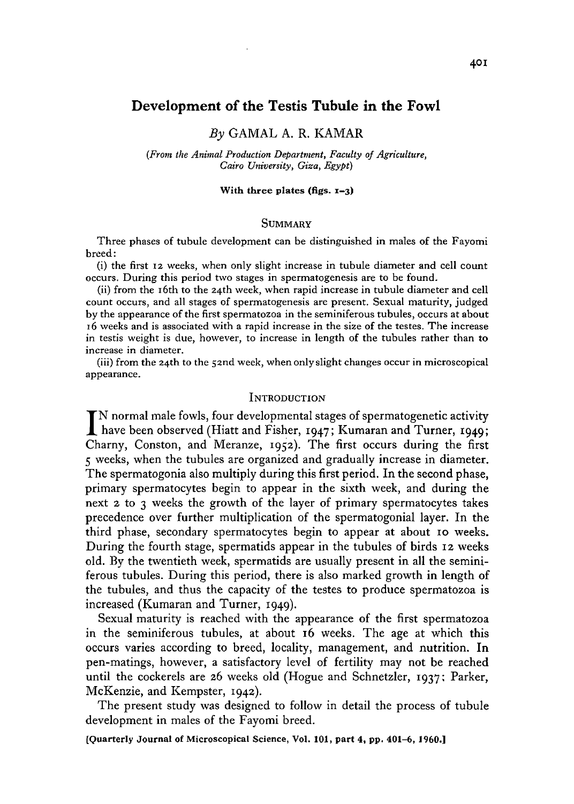## Development of the Testis Tubule in the Fowl

# *By* GAMAL A. R. KAMAR

*(From the Animal Production Department, Faculty of Agriculture, Cairo University, Giza, Egypt)*

#### With three plates (figs.  $1-3$ )

### **SUMMARY**

Three phases of tubule development can be distinguished in males of the Fayomi breed:

(i) the first 12 weeks, when only slight increase in tubule diameter and cell count occurs. During this period two stages in spermatogenesis are to be found.

(ii) from the 16th to the 24th week, when rapid increase in tubule diameter and cell count occurs, and all stages of spermatogenesis are present. Sexual maturity, judged by the appearance of the first spermatozoa in the seminiferous tubules, occurs at about 16 weeks and is associated with a rapid increase in the size of the testes. The increase in testis weight is due, however, to increase in length of the tubules rather than to increase in diameter.

(iii) from the 24th to the 52nd week, when only slight changes occur in microscopical appearance.

#### **INTRODUCTION**

IN normal male fowls, four developmental stages of spermatogenetic activity<br>have been observed (Hiatt and Fisher, 1947; Kumaran and Turner, 1949;<br>Channel Contage and Margaret activity four service during the figure N normal male fowls, four developmental stages of spermatogenetic activity Charny, Conston, and Meranze, 1952). The first occurs during the first 5 weeks, when the tubules are organized and gradually increase in diameter. The spermatogonia also multiply during this first period. In the second phase, primary spermatocytes begin to appear in the sixth week, and during the next  $2$  to  $3$  weeks the growth of the layer of primary spermatocytes takes precedence over further multiplication of the spermatogonial layer. In the third phase, secondary spermatocytes begin to appear at about 10 weeks. During the fourth stage, spermatids appear in the tubules of birds 12 weeks old. By the twentieth week, spermatids are usually present in all the seminiferous tubules. During this period, there is also marked growth in length of the tubules, and thus the capacity of the testes to produce spermatozoa is increased (Kumaran and Turner, 1949).

Sexual maturity is reached with the appearance of the first spermatozoa in the seminiferous tubules, at about 16 weeks. The age at which this occurs varies according to breed, locality, management, and nutrition. In pen-matings, however, a satisfactory level of fertility may not be reached until the cockerels are 26 weeks old (Hogue and Schnetzler, 1937; Parker, McKenzie, and Kempster, 1942).

The present study was designed to follow in detail the process of tubule development in males of the Fayomi breed.

[Quarterly Journal of Microscopical Science, Vol. 101, part 4, pp. 401-6, I960.]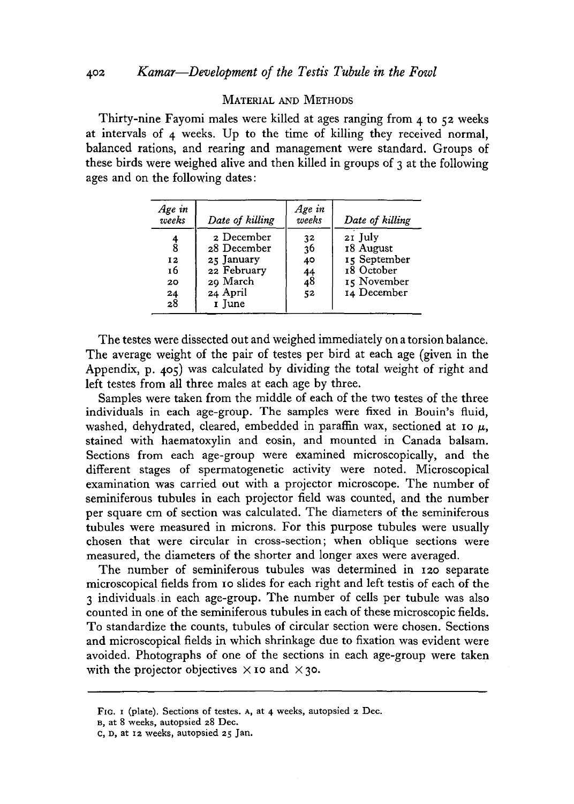# MATERIAL AND METHODS

Thirty-nine Fayomi males were killed at ages ranging from 4 to 52 weeks at intervals of 4 weeks. Up to the time of killing they received normal, balanced rations, and rearing and management were standard. Groups of these birds were weighed alive and then killed in groups of  $\alpha$  at the following ages and on the following dates:

| Age in<br>weeks                                    | Date of killing                                                                          | Age in<br>weeks                                  | Date of killing                                                                  |
|----------------------------------------------------|------------------------------------------------------------------------------------------|--------------------------------------------------|----------------------------------------------------------------------------------|
| $\frac{4}{8}$<br>12<br>16<br>20<br>$\frac{24}{28}$ | 2 December<br>28 December<br>25 January<br>22 February<br>20 March<br>24 April<br>I June | 3 <sup>2</sup><br>36<br>40<br>$^{44}_{48}$<br>52 | 21 July<br>18 August<br>15 September<br>18 October<br>15 November<br>14 December |

The testes were dissected out and weighed immediately on a torsion balance. The average weight of the pair of testes per bird at each age (given in the Appendix, p. 405) was calculated by dividing the total weight of right and left testes from all three males at each age by three.

Samples were taken from the middle of each of the two testes of the three individuals in each age-group. The samples were fixed in Bouin's fluid, washed, dehydrated, cleared, embedded in paraffin wax, sectioned at 10  $\mu$ , stained with haematoxylin and eosin, and mounted in Canada balsam. Sections from each age-group were examined microscopically, and the different stages of spermatogenetic activity were noted. Microscopical examination was carried out with a projector microscope. The number of seminiferous tubules in each projector field was counted, and the number per square cm of section was calculated. The diameters of the seminiferous tubules were measured in microns. For this purpose tubules were usually chosen that were circular in cross-section; when oblique sections were measured, the diameters of the shorter and longer axes were averaged.

The number of seminiferous tubules was determined in 120 separate microscopical fields from 10 slides for each right and left testis of each of the 3 individuals.in each age-group. The number of cells per tubule was also counted in one of the seminiferous tubules in each of these microscopic fields. To standardize the counts, tubules of circular section were chosen. Sections and microscopical fields in which shrinkage due to fixation was evident were avoided. Photographs of one of the sections in each age-group were taken with the projector objectives  $\times$  10 and  $\times$  30.

FIG. I (plate). Sections of testes. A, at 4 weeks, autopsied 2 Dec.

B, at 8 weeks, autopsied a8 Dec.

C, D, at 12 weeks, autopsied 25 Jan.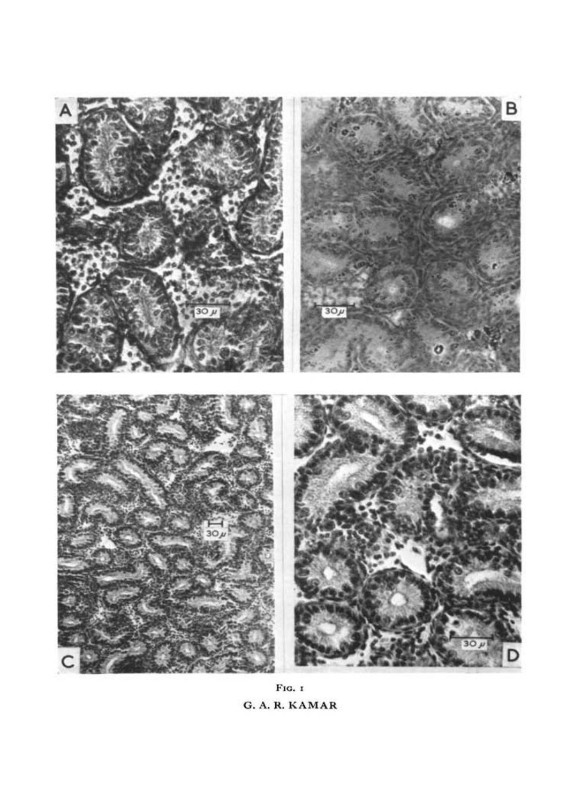

FIG. I G. A. R. KAMAR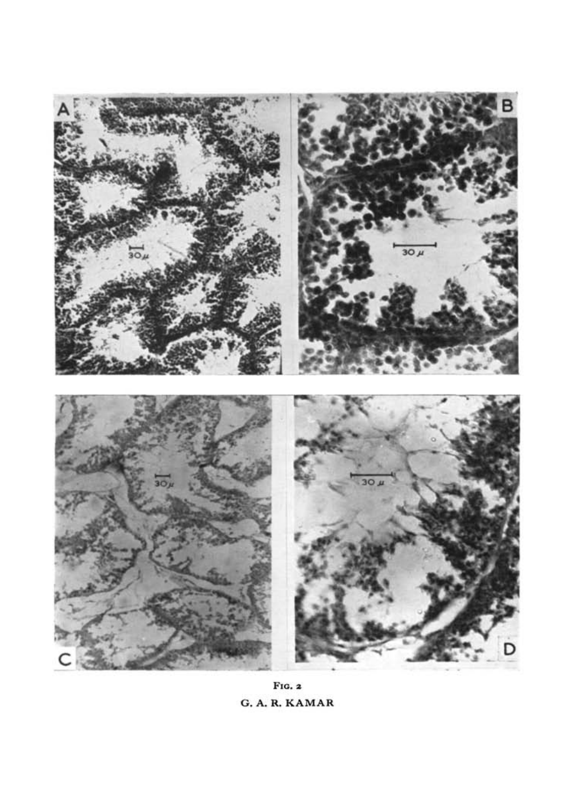

FIG. 2 G. A. R. KAMAR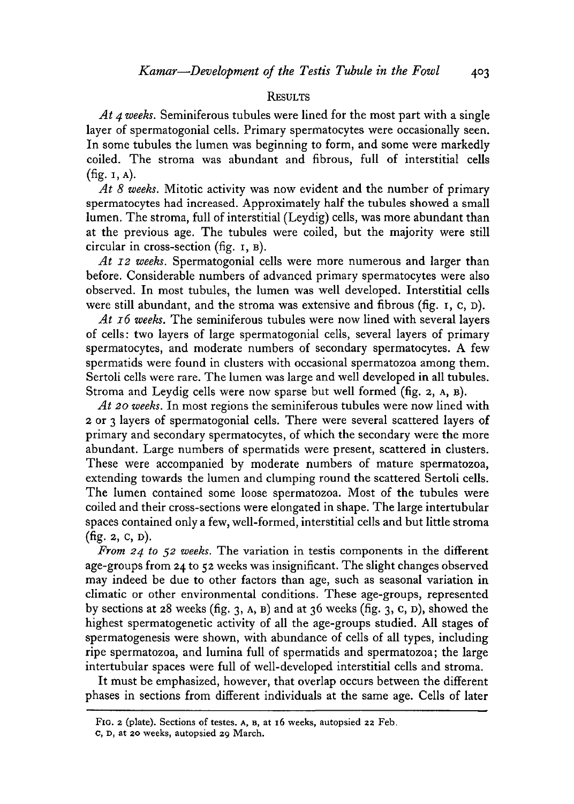#### **RESULTS**

*At 4 weeks.* Seminiferous tubules were lined for the most part with a single layer of spermatogonial cells. Primary spermatocytes were occasionally seen. In some tubules the lumen was beginning to form, and some were markedly coiled. The stroma was abundant and fibrous, full of interstitial cells (fig. 1, A).

*At 8 weeks.* Mitotic activity was now evident and the number of primary spermatocytes had increased. Approximately half the tubules showed a small lumen. The stroma, full of interstitial (Leydig) cells, was more abundant than at the previous age. The tubules were coiled, but the majority were still circular in cross-section (fig. 1, B).

*At 12 weeks.* Spermatogonial cells were more numerous and larger than before. Considerable numbers of advanced primary spermatocytes were also observed. In most tubules, the lumen was well developed. Interstitial cells were still abundant, and the stroma was extensive and fibrous (fig. 1, c, D).

*At 16 weeks.* The seminiferous tubules were now lined with several layers of cells: two layers of large spermatogonial cells, several layers of primary spermatocytes, and moderate numbers of secondary spermatocytes. A few spermatids were found in clusters with occasional spermatozoa among them. Sertoli cells were rare. The lumen was large and well developed in all tubules. Stroma and Leydig cells were now sparse but well formed (fig. 2, A, B).

*At 20 weeks.* In most regions the seminiferous tubules were now lined with 2 or 3 layers of spermatogonial cells. There were several scattered layers of primary and secondary spermatocytes, of which the secondary were the more abundant. Large numbers of spermatids were present, scattered in clusters. These were accompanied by moderate numbers of mature spermatozoa, extending towards the lumen and clumping round the scattered Sertoli cells. The lumen contained some loose spermatozoa. Most of the tubules were coiled and their cross-sections were elongated in shape. The large intertubular spaces contained only a few, well-formed, interstitial cells and but little stroma (fig. 2, c, D).

*From 24 to* 52 *weeks.* The variation in testis components in the different age-groups from 24 to 52 weeks was insignificant. The slight changes observed may indeed be due to other factors than age, such as seasonal variation in climatic or other environmental conditions. These age-groups, represented by sections at 28 weeks (fig. 3, A, B) and at 36 weeks (fig. 3, c, D), showed the highest spermatogenetic activity of all the age-groups studied. All stages of spermatogenesis were shown, with abundance of cells of all types, including ripe spermatozoa, and lumina full of spermatids and spermatozoa; the large intertubular spaces were full of well-developed interstitial cells and stroma.

It must be emphasized, however, that overlap occurs between the different phases in sections from different individuals at the same age. Cells of later

FIG. 2 (plate). Sections of testes. A, B, at 16 weeks, autopsied 22 Feb.

c, D, at 20 weeks, autopsied 29 March.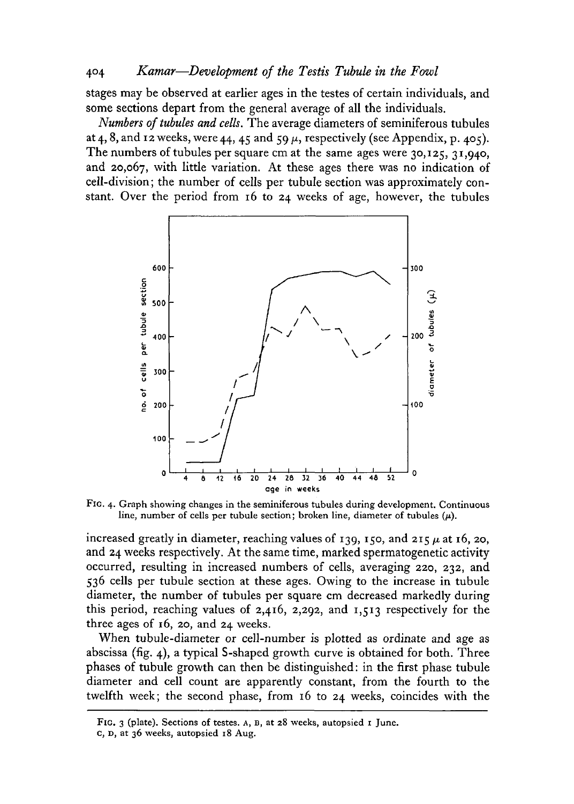## 404 *Kamar*—*Development of the Testis Tubule in the Fowl*

stages may be observed at earlier ages in the testes of certain individuals, and some sections depart from the general average of all the individuals.

*Numbers of tubules and cells.* The average diameters of seminiferous tubules at 4, 8, and 12 weeks, were 44, 45 and 59  $\mu$ , respectively (see Appendix, p. 405). The numbers of tubules per square cm at the same ages were 30,125, 31,940, and 20,067, with little variation. At these ages there was no indication of cell-division; the number of cells per tubule section was approximately constant. Over the period from 16 to 24 weeks of age, however, the tubules



FIG. 4. Graph showing changes in the seminiferous tubules during development. Continuous line, number of cells per tubule section; broken line, diameter of tubules  $(\mu)$ .

increased greatly in diameter, reaching values of 139, 150, and 215  $\mu$  at 16, 20, and 24 weeks respectively. At the same time, marked spermatogenetic activity occurred, resulting in increased numbers of cells, averaging 220, 232, and 536 cells per tubule section at these ages. Owing to the increase in tubule diameter, the number of tubules per square cm decreased markedly during this period, reaching values of 2,416, 2,292, and 1,513 respectively for the three ages of 16, 20, and 24 weeks.

When tubule-diameter or cell-number is plotted as ordinate and age as abscissa (fig. 4), a typical S-shaped growth curve is obtained for both. Three phases of tubule growth can then be distinguished: in the first phase tubule diameter and cell count are apparently constant, from the fourth to the twelfth week; the second phase, from 16 to 24 weeks, coincides with the

FIG. 3 (plate). Sections of testes. A, B, at 28 weeks, autopsied 1 June, c, D, at 36 weeks, autopsied 18 Aug.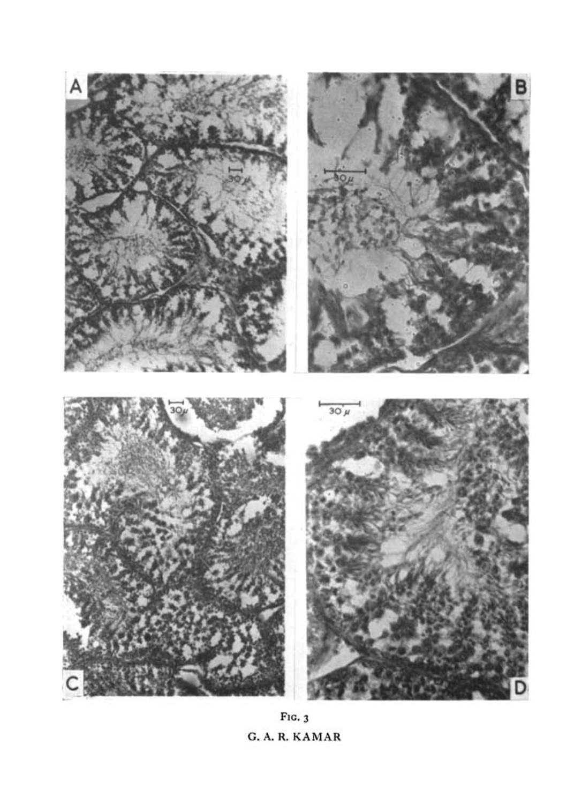

FIG. 3 G. A. R. KAMAR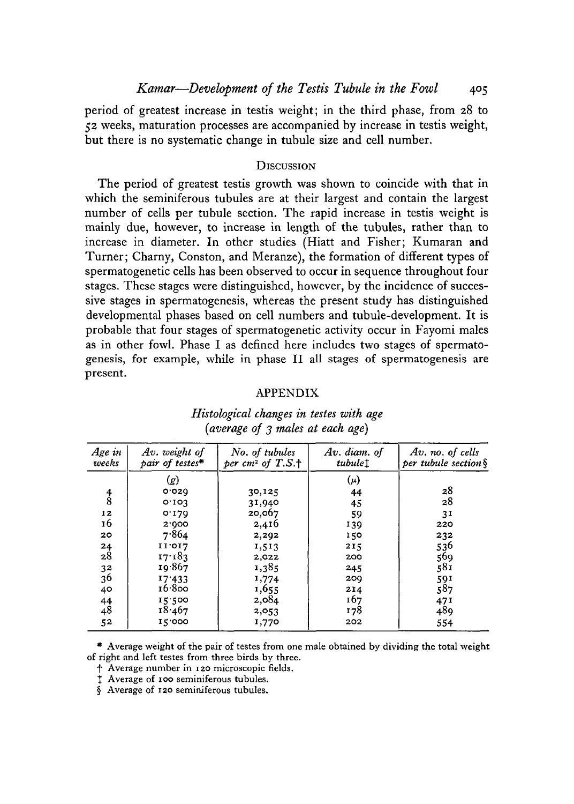period of greatest increase in testis weight; in the third phase, from 28 to 52 weeks, maturation processes are accompanied by increase in testis weight, but there is no systematic change in tubule size and cell number.

### **DISCUSSION**

The period of greatest testis growth was shown to coincide with that in which the seminiferous tubules are at their largest and contain the largest number of cells per tubule section. The rapid increase in testis weight is mainly due, however, to increase in length of the tubules, rather than to increase in diameter. In other studies (Hiatt and Fisher; Kumaran and Turner; Charny, Conston, and Meranze), the formation of different types of spermatogenetic cells has been observed to occur in sequence throughout four stages. These stages were distinguished, however, by the incidence of successive stages in spermatogenesis, whereas the present study has distinguished developmental phases based on cell numbers and tubule-development. It is probable that four stages of spermatogenetic activity occur in Fayomi males as in other fowl. Phase I as defined here includes two stages of spermatogenesis, for example, while in phase II all stages of spermatogenesis are present.

### APPENDIX

| Age in<br>weeks | Av. weight of<br>pair of testes* | No. of tubules<br>per $cm2$ of T.S. <sup>+</sup> | Av. diam. of<br>tubulet | Av. no. of cells<br>per tubule section § |
|-----------------|----------------------------------|--------------------------------------------------|-------------------------|------------------------------------------|
|                 | (g)                              |                                                  | $(\mu)$                 |                                          |
|                 | 0.020                            | 30,125                                           | 44                      | 28                                       |
| $\frac{4}{8}$   | 0.103                            | 31,940                                           | 45                      | 28                                       |
| 12              | 0.179                            | 20,067                                           | 59                      | 3 <sup>1</sup>                           |
| 16              | 2.000                            | 2,416                                            | 139                     | 220                                      |
| 20              | 7.864                            | 2,292                                            | 150                     | 232                                      |
| 24              | 11'017                           | 1,513                                            | 215                     | 536                                      |
| 28              | 17.183                           | 2,022                                            | 200                     | 569                                      |
| 32              | 19.867                           | 1,385                                            | 245                     | 581                                      |
| 36              | 17.433                           | 1,774                                            | 200                     | 591                                      |
| 40              | 16.800                           | 1,655                                            | 214                     | 587                                      |
| $^{44}_{48}$    | 15.500                           | 2,084                                            | 167                     | 471                                      |
|                 | 18.467                           | 2,053                                            | 178                     | 489                                      |
| 52              | 15.000                           | 1,770                                            | 202                     | 554                                      |

# *Histological changes in testes with age (average of 3 males at each age)*

\* Average weight of the pair of testes from one male obtained by dividing the total weight of right and left testes from three birds by three.

f Average number in 120 microscopic fields.

I Average of 100 seminiferous tubules.

§ Average of 120 seminiferous tubules.